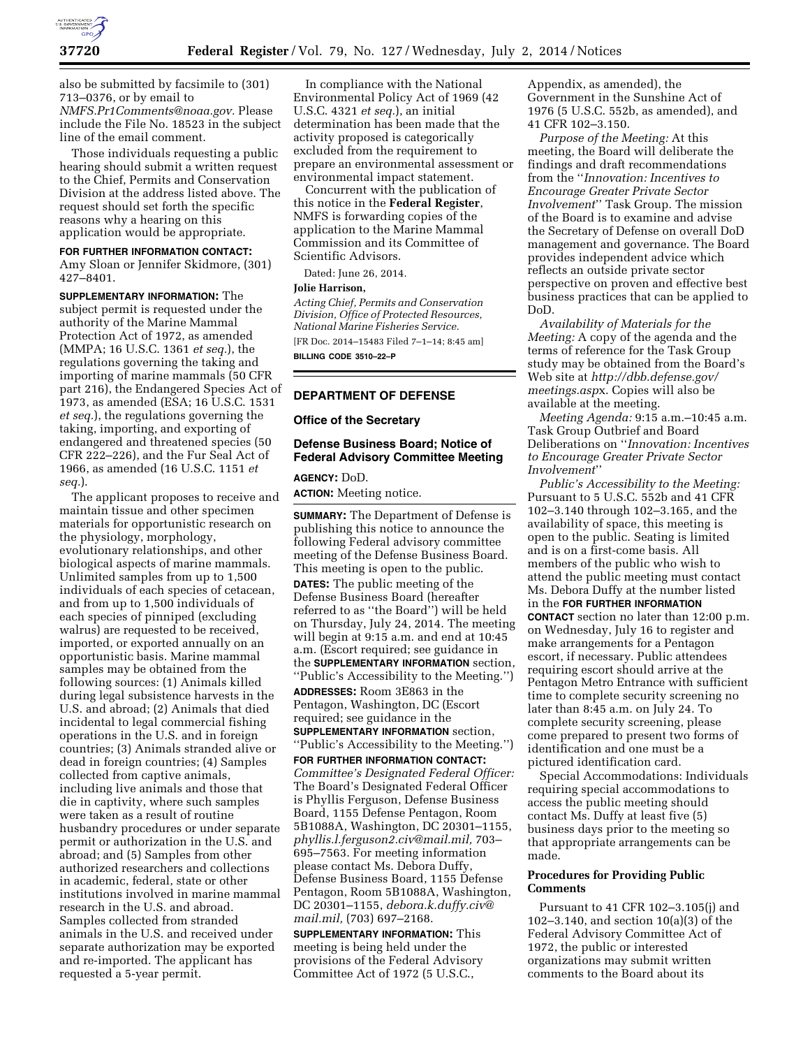

also be submitted by facsimile to (301) 713–0376, or by email to *[NMFS.Pr1Comments@noaa.gov.](mailto:NMFS.Pr1Comments@noaa.gov)* Please include the File No. 18523 in the subject line of the email comment.

Those individuals requesting a public hearing should submit a written request to the Chief, Permits and Conservation Division at the address listed above. The request should set forth the specific reasons why a hearing on this application would be appropriate.

#### **FOR FURTHER INFORMATION CONTACT:**

Amy Sloan or Jennifer Skidmore, (301) 427–8401.

**SUPPLEMENTARY INFORMATION:** The subject permit is requested under the authority of the Marine Mammal Protection Act of 1972, as amended (MMPA; 16 U.S.C. 1361 *et seq.*), the regulations governing the taking and importing of marine mammals (50 CFR part 216), the Endangered Species Act of 1973, as amended (ESA; 16 U.S.C. 1531 *et seq.*), the regulations governing the taking, importing, and exporting of endangered and threatened species (50 CFR 222–226), and the Fur Seal Act of 1966, as amended (16 U.S.C. 1151 *et seq.*).

The applicant proposes to receive and maintain tissue and other specimen materials for opportunistic research on the physiology, morphology, evolutionary relationships, and other biological aspects of marine mammals. Unlimited samples from up to 1,500 individuals of each species of cetacean, and from up to 1,500 individuals of each species of pinniped (excluding walrus) are requested to be received, imported, or exported annually on an opportunistic basis. Marine mammal samples may be obtained from the following sources: (1) Animals killed during legal subsistence harvests in the U.S. and abroad; (2) Animals that died incidental to legal commercial fishing operations in the U.S. and in foreign countries; (3) Animals stranded alive or dead in foreign countries; (4) Samples collected from captive animals, including live animals and those that die in captivity, where such samples were taken as a result of routine husbandry procedures or under separate permit or authorization in the U.S. and abroad; and (5) Samples from other authorized researchers and collections in academic, federal, state or other institutions involved in marine mammal research in the U.S. and abroad. Samples collected from stranded animals in the U.S. and received under separate authorization may be exported and re-imported. The applicant has requested a 5-year permit.

In compliance with the National Environmental Policy Act of 1969 (42 U.S.C. 4321 *et seq.*), an initial determination has been made that the activity proposed is categorically excluded from the requirement to prepare an environmental assessment or environmental impact statement.

Concurrent with the publication of this notice in the **Federal Register**, NMFS is forwarding copies of the application to the Marine Mammal Commission and its Committee of Scientific Advisors.

Dated: June 26, 2014.

#### **Jolie Harrison,**

*Acting Chief, Permits and Conservation Division, Office of Protected Resources, National Marine Fisheries Service.*  [FR Doc. 2014–15483 Filed 7–1–14; 8:45 am] **BILLING CODE 3510–22–P** 

# **DEPARTMENT OF DEFENSE**

### **Office of the Secretary**

## **Defense Business Board; Notice of Federal Advisory Committee Meeting**

## **AGENCY:** DoD.

**ACTION:** Meeting notice.

**SUMMARY:** The Department of Defense is publishing this notice to announce the following Federal advisory committee meeting of the Defense Business Board. This meeting is open to the public. **DATES:** The public meeting of the Defense Business Board (hereafter referred to as ''the Board'') will be held on Thursday, July 24, 2014. The meeting will begin at 9:15 a.m. and end at 10:45 a.m. (Escort required; see guidance in the **SUPPLEMENTARY INFORMATION** section, ''Public's Accessibility to the Meeting.'') **ADDRESSES:** Room 3E863 in the Pentagon, Washington, DC (Escort required; see guidance in the **SUPPLEMENTARY INFORMATION** section, ''Public's Accessibility to the Meeting.'')

**FOR FURTHER INFORMATION CONTACT:**  *Committee's Designated Federal Officer:*  The Board's Designated Federal Officer is Phyllis Ferguson, Defense Business Board, 1155 Defense Pentagon, Room 5B1088A, Washington, DC 20301–1155, *[phyllis.l.ferguson2.civ@mail.mil,](mailto:phyllis.l.ferguson2.civ@mail.mil)* 703– 695–7563. For meeting information please contact Ms. Debora Duffy, Defense Business Board, 1155 Defense Pentagon, Room 5B1088A, Washington, DC 20301–1155, *[debora.k.duffy.civ@](mailto:debora.k.duffy.civ@mail.mil) [mail.mil,](mailto:debora.k.duffy.civ@mail.mil)* (703) 697–2168.

**SUPPLEMENTARY INFORMATION:** This meeting is being held under the provisions of the Federal Advisory Committee Act of 1972 (5 U.S.C.,

Appendix, as amended), the Government in the Sunshine Act of 1976 (5 U.S.C. 552b, as amended), and 41 CFR 102–3.150.

*Purpose of the Meeting:* At this meeting, the Board will deliberate the findings and draft recommendations from the ''*Innovation: Incentives to Encourage Greater Private Sector Involvement*'' Task Group. The mission of the Board is to examine and advise the Secretary of Defense on overall DoD management and governance. The Board provides independent advice which reflects an outside private sector perspective on proven and effective best business practices that can be applied to DoD.

*Availability of Materials for the Meeting:* A copy of the agenda and the terms of reference for the Task Group study may be obtained from the Board's Web site at *[http://dbb.defense.gov/](http://dbb.defense.gov/meetings.aspx) [meetings.asp](http://dbb.defense.gov/meetings.aspx)*x. Copies will also be available at the meeting.

*Meeting Agenda:* 9:15 a.m.–10:45 a.m. Task Group Outbrief and Board Deliberations on ''*Innovation: Incentives to Encourage Greater Private Sector Involvement*''

*Public's Accessibility to the Meeting:*  Pursuant to 5 U.S.C. 552b and 41 CFR 102–3.140 through 102–3.165, and the availability of space, this meeting is open to the public. Seating is limited and is on a first-come basis. All members of the public who wish to attend the public meeting must contact Ms. Debora Duffy at the number listed in the **FOR FURTHER INFORMATION CONTACT** section no later than 12:00 p.m. on Wednesday, July 16 to register and make arrangements for a Pentagon escort, if necessary. Public attendees requiring escort should arrive at the Pentagon Metro Entrance with sufficient time to complete security screening no later than 8:45 a.m. on July 24. To complete security screening, please come prepared to present two forms of identification and one must be a pictured identification card.

Special Accommodations: Individuals requiring special accommodations to access the public meeting should contact Ms. Duffy at least five (5) business days prior to the meeting so that appropriate arrangements can be made.

#### **Procedures for Providing Public Comments**

Pursuant to 41 CFR 102–3.105(j) and 102–3.140, and section 10(a)(3) of the Federal Advisory Committee Act of 1972, the public or interested organizations may submit written comments to the Board about its